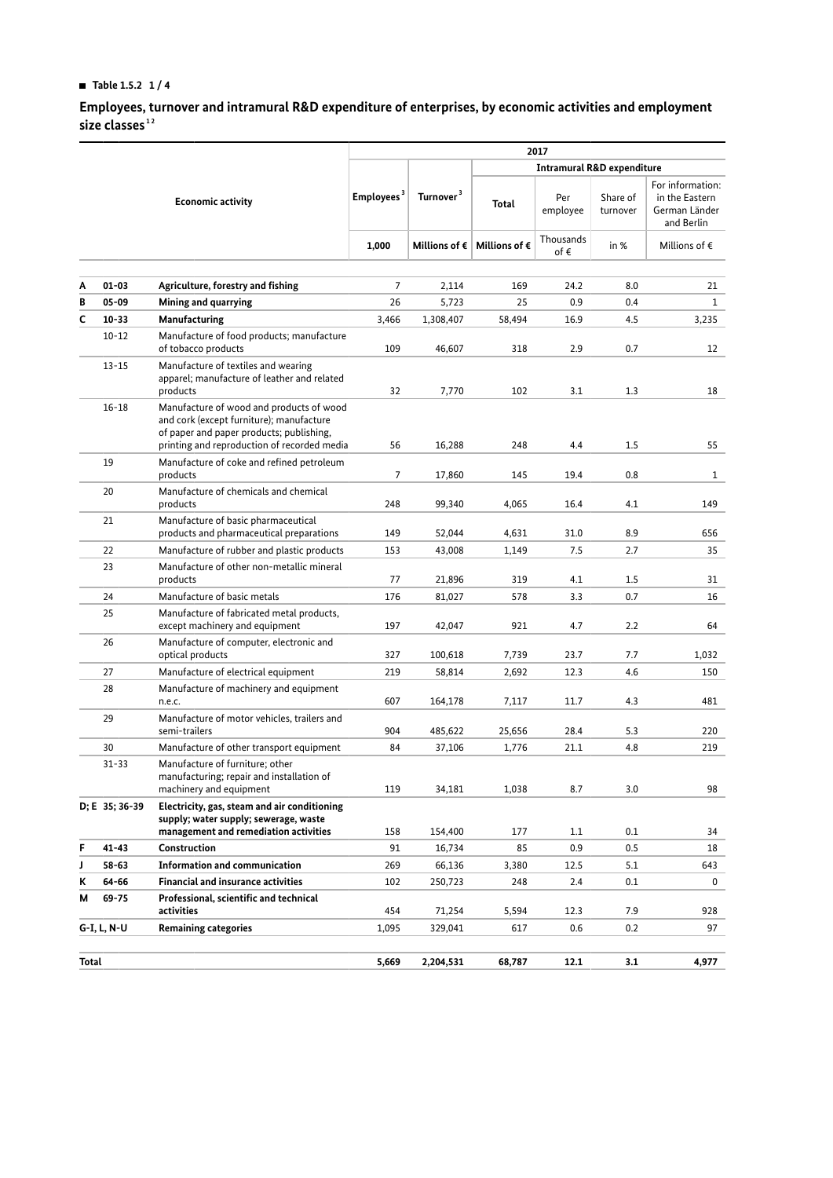## **HI Table 1.5.2 1 / 4**

**Employees, turnover and intramural R&D expenditure of enterprises, by economic activities and employment size classes [1](#page-3-0) [2](#page-3-1)**

|                          |                                                  |                                                                                                                                                                                 |                        |                       | 2017                                            |                  |                      |                                                                   |
|--------------------------|--------------------------------------------------|---------------------------------------------------------------------------------------------------------------------------------------------------------------------------------|------------------------|-----------------------|-------------------------------------------------|------------------|----------------------|-------------------------------------------------------------------|
| <b>Economic activity</b> |                                                  |                                                                                                                                                                                 |                        |                       | <b>Intramural R&amp;D expenditure</b>           |                  |                      |                                                                   |
|                          |                                                  |                                                                                                                                                                                 | Employees <sup>3</sup> | Turnover <sup>3</sup> | Total                                           | Per<br>employee  | Share of<br>turnover | For information:<br>in the Eastern<br>German Länder<br>and Berlin |
|                          |                                                  |                                                                                                                                                                                 | 1,000                  |                       | Millions of $\epsilon$   Millions of $\epsilon$ | Thousands<br>of€ | in %                 | Millions of $\epsilon$                                            |
| A                        | $01 - 03$                                        | Agriculture, forestry and fishing                                                                                                                                               | $\overline{7}$         | 2,114                 | 169                                             | 24.2             | 8.0                  | 21                                                                |
| B                        | $05 - 09$                                        | Mining and quarrying                                                                                                                                                            | 26                     | 5,723                 | 25                                              | 0.9              | 0.4                  | $\mathbf{1}$                                                      |
| C                        | $10 - 33$                                        | Manufacturing                                                                                                                                                                   | 3,466                  | 1,308,407             | 58,494                                          | 16.9             | 4.5                  | 3,235                                                             |
|                          | $10 - 12$                                        | Manufacture of food products; manufacture                                                                                                                                       |                        |                       |                                                 |                  |                      |                                                                   |
|                          |                                                  | of tobacco products                                                                                                                                                             | 109                    | 46,607                | 318                                             | 2.9              | 0.7                  | 12                                                                |
|                          | $13 - 15$                                        | Manufacture of textiles and wearing<br>apparel; manufacture of leather and related<br>products                                                                                  | 32                     | 7,770                 | 102                                             | 3.1              | 1.3                  | 18                                                                |
|                          | $16 - 18$                                        | Manufacture of wood and products of wood<br>and cork (except furniture); manufacture<br>of paper and paper products; publishing,<br>printing and reproduction of recorded media | 56                     | 16,288                | 248                                             | 4.4              | 1.5                  | 55                                                                |
|                          | 19                                               | Manufacture of coke and refined petroleum<br>products                                                                                                                           | $\overline{7}$         | 17,860                | 145                                             | 19.4             | 0.8                  | $\mathbf{1}$                                                      |
|                          | 20                                               | Manufacture of chemicals and chemical<br>products                                                                                                                               | 248                    | 99,340                | 4,065                                           | 16.4             | 4.1                  | 149                                                               |
|                          | 21                                               | Manufacture of basic pharmaceutical<br>products and pharmaceutical preparations                                                                                                 | 149                    | 52,044                | 4,631                                           | 31.0             | 8.9                  | 656                                                               |
|                          | 22<br>Manufacture of rubber and plastic products |                                                                                                                                                                                 | 153                    | 43,008                | 1,149                                           | 7.5              | 2.7                  | 35                                                                |
|                          | 23                                               | Manufacture of other non-metallic mineral<br>products                                                                                                                           | 77                     | 21,896                | 319                                             | 4.1              | 1.5                  | 31                                                                |
|                          | 24                                               | Manufacture of basic metals                                                                                                                                                     | 176                    | 81,027                | 578                                             | 3.3              | 0.7                  | 16                                                                |
|                          | 25                                               | Manufacture of fabricated metal products,<br>except machinery and equipment                                                                                                     | 197                    | 42,047                | 921                                             | 4.7              | 2.2                  | 64                                                                |
|                          | 26                                               | Manufacture of computer, electronic and<br>optical products                                                                                                                     | 327                    | 100,618               | 7,739                                           | 23.7             | 7.7                  | 1,032                                                             |
|                          | 27                                               | Manufacture of electrical equipment                                                                                                                                             | 219                    | 58,814                | 2,692                                           | 12.3             | 4.6                  | 150                                                               |
|                          | 28                                               | Manufacture of machinery and equipment                                                                                                                                          |                        |                       |                                                 |                  |                      |                                                                   |
|                          |                                                  | n.e.c.                                                                                                                                                                          | 607                    | 164,178               | 7,117                                           | 11.7             | 4.3                  | 481                                                               |
|                          | 29                                               | Manufacture of motor vehicles, trailers and<br>semi-trailers                                                                                                                    | 904                    | 485,622               | 25,656                                          | 28.4             | 5.3                  | 220                                                               |
|                          | 30                                               | Manufacture of other transport equipment                                                                                                                                        | 84                     | 37,106                | 1,776                                           | 21.1             | 4.8                  | 219                                                               |
|                          | $31 - 33$                                        | Manufacture of furniture; other<br>manufacturing; repair and installation of<br>machinery and equipment                                                                         | 119                    | 34,181                | 1,038                                           | 8.7              | 3.0                  | 98                                                                |
|                          | D; E 35; 36-39                                   | Electricity, gas, steam and air conditioning<br>supply; water supply; sewerage, waste<br>management and remediation activities                                                  | 158                    | 154,400               | 177                                             | 1.1              | 0.1                  | 34                                                                |
| F                        | $41 - 43$                                        | Construction                                                                                                                                                                    | 91                     | 16,734                | 85                                              | 0.9              | 0.5                  | 18                                                                |
| J                        | $58 - 63$                                        | <b>Information and communication</b>                                                                                                                                            | 269                    | 66,136                | 3,380                                           | 12.5             | 5.1                  | 643                                                               |
| ĸ                        | 64-66                                            | <b>Financial and insurance activities</b>                                                                                                                                       | 102                    | 250,723               | 248                                             | 2.4              | 0.1                  | 0                                                                 |
| М                        | $69 - 75$                                        | Professional, scientific and technical<br>activities                                                                                                                            | 454                    | 71,254                | 5,594                                           | 12.3             | 7.9                  | 928                                                               |
| G-I, L, N-U              |                                                  | <b>Remaining categories</b>                                                                                                                                                     | 1,095                  | 329,041               | 617                                             | 0.6              | 0.2                  | 97                                                                |
| Total                    |                                                  |                                                                                                                                                                                 | 5,669                  | 2,204,531             | 68,787                                          | 12.1             | 3.1                  | 4,977                                                             |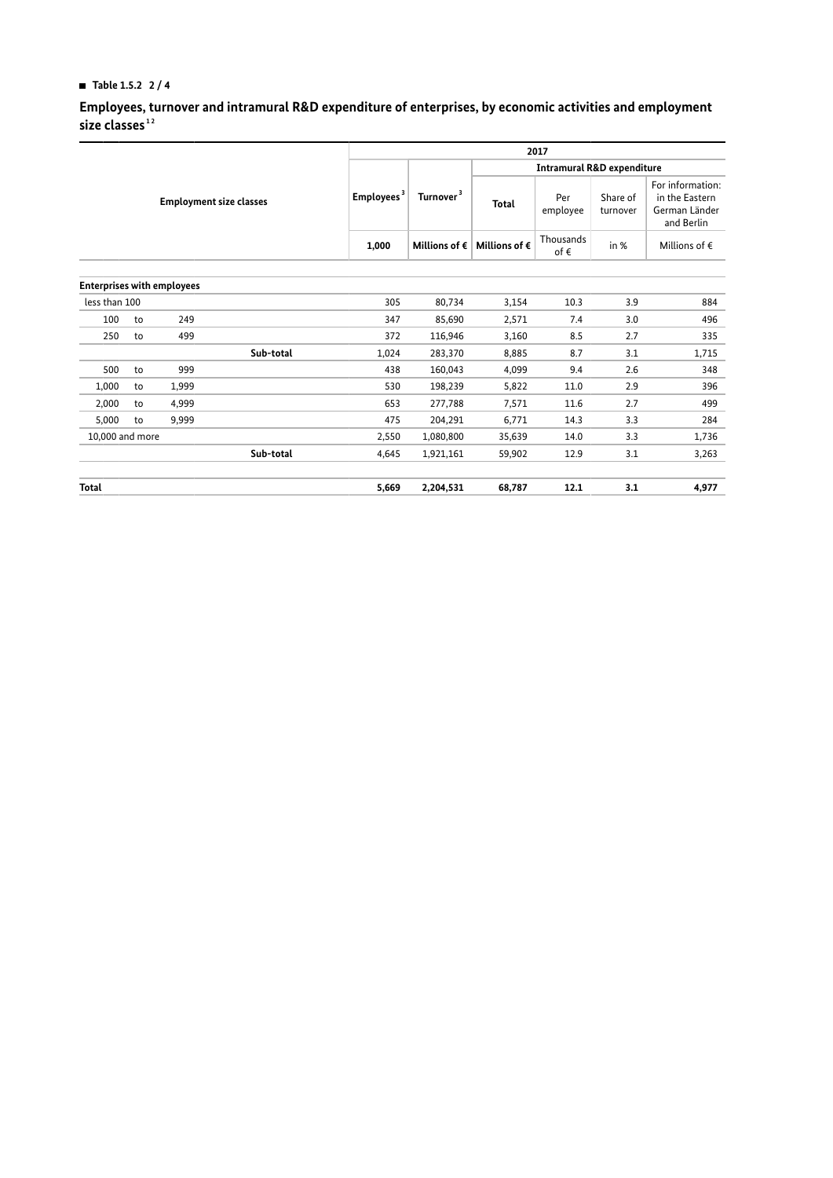## **HI Table 1.5.2 2 / 4**

**Employees, turnover and intramural R&D expenditure of enterprises, by economic activities and employment size classes [1](#page-3-0) [2](#page-3-1)**

|                 |                                |                                   |           | 2017                   |                                       |                            |                      |                                                                   |  |  |
|-----------------|--------------------------------|-----------------------------------|-----------|------------------------|---------------------------------------|----------------------------|----------------------|-------------------------------------------------------------------|--|--|
|                 |                                |                                   |           |                        | <b>Intramural R&amp;D expenditure</b> |                            |                      |                                                                   |  |  |
|                 | <b>Employment size classes</b> |                                   |           | Turnover <sup>3</sup>  | Total                                 | Per<br>employee            | Share of<br>turnover | For information:<br>in the Eastern<br>German Länder<br>and Berlin |  |  |
|                 |                                |                                   | 1.000     | Millions of $\epsilon$ | Millions of $\epsilon$                | Thousands<br>of $\epsilon$ | in %                 | Millions of $\epsilon$                                            |  |  |
|                 |                                |                                   |           |                        |                                       |                            |                      |                                                                   |  |  |
|                 |                                | <b>Enterprises with employees</b> |           |                        |                                       |                            |                      |                                                                   |  |  |
| less than 100   |                                |                                   | 305       | 80,734                 | 3,154                                 | 10.3                       | 3.9                  | 884                                                               |  |  |
| 100             | to                             | 249                               | 347       | 85,690                 | 2,571                                 | 7.4                        | 3.0                  | 496                                                               |  |  |
| 250             | to                             | 499                               | 372       | 116,946                | 3,160                                 | 8.5                        | 2.7                  | 335                                                               |  |  |
|                 |                                | Sub-total                         | 1,024     | 283,370                | 8,885                                 | 8.7                        | 3.1                  | 1,715                                                             |  |  |
| 500             | to                             | 999                               | 438       | 160,043                | 4,099                                 | 9.4                        | 2.6                  | 348                                                               |  |  |
| 1,000           | to                             | 1,999                             | 530       | 198,239                | 5,822                                 | 11.0                       | 2.9                  | 396                                                               |  |  |
| 2,000           | to                             | 4,999                             | 653       | 277,788                | 7,571                                 | 11.6                       | 2.7                  | 499                                                               |  |  |
| 5,000           | to                             | 9,999                             | 475       | 204,291                | 6,771                                 | 14.3                       | 3.3                  | 284                                                               |  |  |
| 10,000 and more |                                | 2,550                             | 1,080,800 | 35,639                 | 14.0                                  | 3.3                        | 1,736                |                                                                   |  |  |
|                 |                                | Sub-total                         | 4,645     | 1,921,161              | 59,902                                | 12.9                       | 3.1                  | 3,263                                                             |  |  |
| Total           |                                |                                   | 5,669     | 2,204,531              | 68,787                                | 12.1                       | 3.1                  | 4,977                                                             |  |  |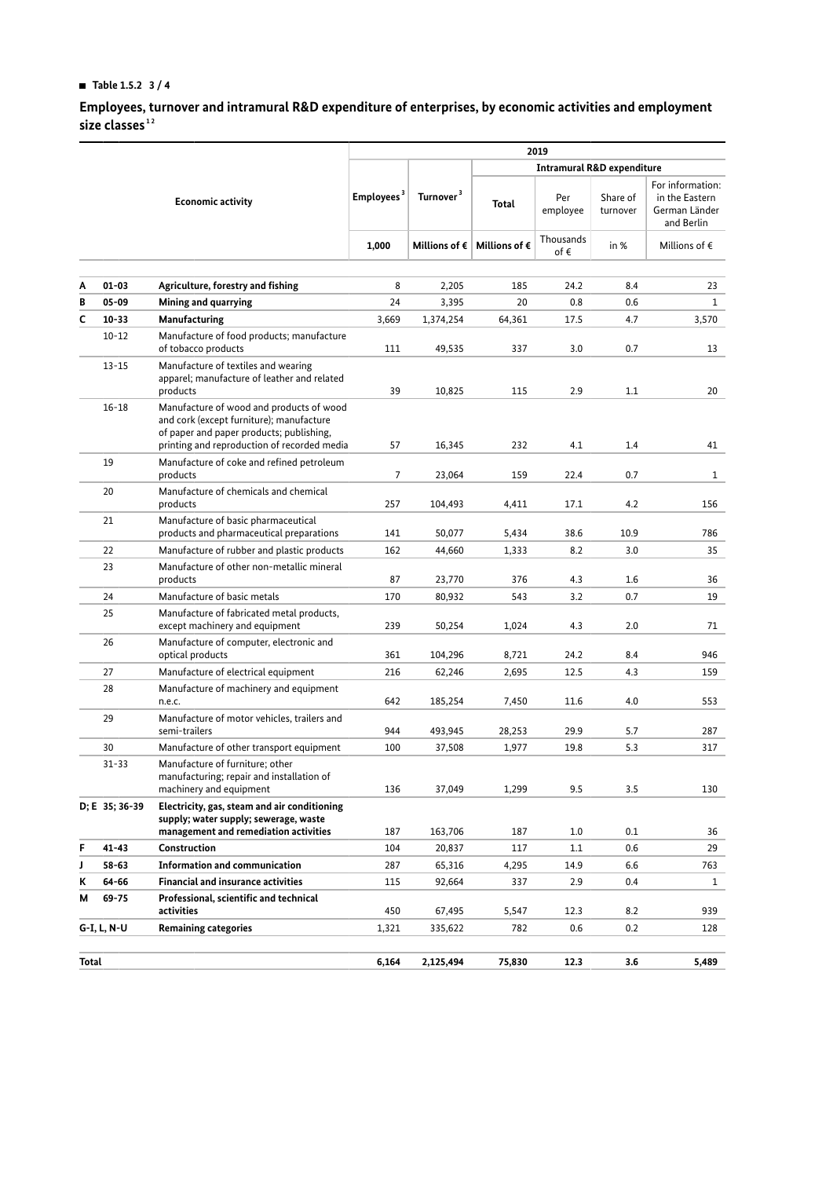## **HI Table 1.5.2 3 / 4**

**Employees, turnover and intramural R&D expenditure of enterprises, by economic activities and employment size classes [1](#page-3-0) [2](#page-3-1)**

|                          |                                                  |                                                                                                                                                                                 | 2019                   |                       |                                                 |                  |                      |                                                                   |  |
|--------------------------|--------------------------------------------------|---------------------------------------------------------------------------------------------------------------------------------------------------------------------------------|------------------------|-----------------------|-------------------------------------------------|------------------|----------------------|-------------------------------------------------------------------|--|
| <b>Economic activity</b> |                                                  |                                                                                                                                                                                 |                        |                       | <b>Intramural R&amp;D expenditure</b>           |                  |                      |                                                                   |  |
|                          |                                                  |                                                                                                                                                                                 | Employees <sup>3</sup> | Turnover <sup>3</sup> | Total                                           | Per<br>employee  | Share of<br>turnover | For information:<br>in the Eastern<br>German Länder<br>and Berlin |  |
|                          |                                                  |                                                                                                                                                                                 | 1,000                  |                       | Millions of $\epsilon$   Millions of $\epsilon$ | Thousands<br>of€ | in %                 | Millions of $\epsilon$                                            |  |
| A                        | $01 - 03$                                        | Agriculture, forestry and fishing                                                                                                                                               | 8                      | 2,205                 | 185                                             | 24.2             | 8.4                  | 23                                                                |  |
| B                        | $05 - 09$                                        | Mining and quarrying                                                                                                                                                            | 24                     | 3,395                 | 20                                              | 0.8              | 0.6                  | $\mathbf{1}$                                                      |  |
| C                        | $10 - 33$                                        | Manufacturing                                                                                                                                                                   | 3,669                  | 1,374,254             | 64,361                                          | 17.5             | 4.7                  | 3,570                                                             |  |
|                          | $10 - 12$                                        | Manufacture of food products; manufacture                                                                                                                                       |                        |                       |                                                 |                  |                      |                                                                   |  |
|                          |                                                  | of tobacco products                                                                                                                                                             | 111                    | 49,535                | 337                                             | 3.0              | 0.7                  | 13                                                                |  |
|                          | $13 - 15$                                        | Manufacture of textiles and wearing<br>apparel; manufacture of leather and related<br>products                                                                                  | 39                     | 10,825                | 115                                             | 2.9              | 1.1                  | 20                                                                |  |
|                          | $16 - 18$                                        | Manufacture of wood and products of wood<br>and cork (except furniture); manufacture<br>of paper and paper products; publishing,<br>printing and reproduction of recorded media | 57                     | 16,345                | 232                                             | 4.1              | 1.4                  | 41                                                                |  |
|                          | 19                                               | Manufacture of coke and refined petroleum<br>products                                                                                                                           | $\overline{7}$         | 23,064                | 159                                             | 22.4             | 0.7                  | $\mathbf{1}$                                                      |  |
|                          | 20                                               | Manufacture of chemicals and chemical<br>products                                                                                                                               | 257                    | 104,493               | 4,411                                           | 17.1             | 4.2                  | 156                                                               |  |
|                          | 21                                               | Manufacture of basic pharmaceutical<br>products and pharmaceutical preparations                                                                                                 | 141                    | 50,077                | 5,434                                           | 38.6             | 10.9                 | 786                                                               |  |
|                          | 22<br>Manufacture of rubber and plastic products |                                                                                                                                                                                 | 162                    | 44,660                | 1,333                                           | 8.2              | 3.0                  | 35                                                                |  |
|                          | 23                                               | Manufacture of other non-metallic mineral<br>products                                                                                                                           | 87                     | 23,770                | 376                                             | 4.3              | 1.6                  | 36                                                                |  |
|                          | 24                                               | Manufacture of basic metals                                                                                                                                                     | 170                    | 80,932                | 543                                             | 3.2              | 0.7                  | 19                                                                |  |
|                          | 25                                               | Manufacture of fabricated metal products,<br>except machinery and equipment                                                                                                     | 239                    | 50,254                | 1,024                                           | 4.3              | 2.0                  | 71                                                                |  |
|                          | 26                                               | Manufacture of computer, electronic and<br>optical products                                                                                                                     | 361                    | 104,296               | 8,721                                           | 24.2             | 8.4                  | 946                                                               |  |
|                          | 27                                               | Manufacture of electrical equipment                                                                                                                                             | 216                    | 62,246                | 2,695                                           | 12.5             | 4.3                  | 159                                                               |  |
|                          | 28                                               | Manufacture of machinery and equipment                                                                                                                                          |                        |                       |                                                 |                  |                      |                                                                   |  |
|                          |                                                  | n.e.c.                                                                                                                                                                          | 642                    | 185,254               | 7,450                                           | 11.6             | 4.0                  | 553                                                               |  |
|                          | 29                                               | Manufacture of motor vehicles, trailers and<br>semi-trailers                                                                                                                    | 944                    | 493,945               | 28,253                                          | 29.9             | 5.7                  | 287                                                               |  |
|                          | 30                                               | Manufacture of other transport equipment                                                                                                                                        | 100                    | 37,508                | 1,977                                           | 19.8             | 5.3                  | 317                                                               |  |
|                          | $31 - 33$                                        | Manufacture of furniture; other<br>manufacturing; repair and installation of<br>machinery and equipment                                                                         | 136                    | 37,049                | 1,299                                           | 9.5              | 3.5                  | 130                                                               |  |
|                          | D; E 35; 36-39                                   | Electricity, gas, steam and air conditioning<br>supply; water supply; sewerage, waste<br>management and remediation activities                                                  | 187                    | 163,706               | 187                                             | 1.0              | 0.1                  | 36                                                                |  |
| F                        | $41 - 43$                                        | Construction                                                                                                                                                                    | 104                    | 20,837                | 117                                             | 1.1              | 0.6                  | 29                                                                |  |
| J                        | $58 - 63$                                        | <b>Information and communication</b>                                                                                                                                            | 287                    | 65,316                | 4,295                                           | 14.9             | 6.6                  | 763                                                               |  |
| ĸ                        | 64-66                                            | <b>Financial and insurance activities</b>                                                                                                                                       | 115                    | 92,664                | 337                                             | 2.9              | 0.4                  | $\mathbf{1}$                                                      |  |
| М                        | $69 - 75$                                        | Professional, scientific and technical<br>activities                                                                                                                            | 450                    | 67,495                | 5,547                                           | 12.3             | 8.2                  | 939                                                               |  |
|                          | G-I, L, N-U                                      | <b>Remaining categories</b>                                                                                                                                                     | 1,321                  | 335,622               | 782                                             | 0.6              | 0.2                  | 128                                                               |  |
|                          |                                                  |                                                                                                                                                                                 |                        |                       |                                                 |                  |                      |                                                                   |  |
| Total                    |                                                  |                                                                                                                                                                                 | 6,164                  | 2,125,494             | 75,830                                          | 12.3             | 3.6                  | 5,489                                                             |  |